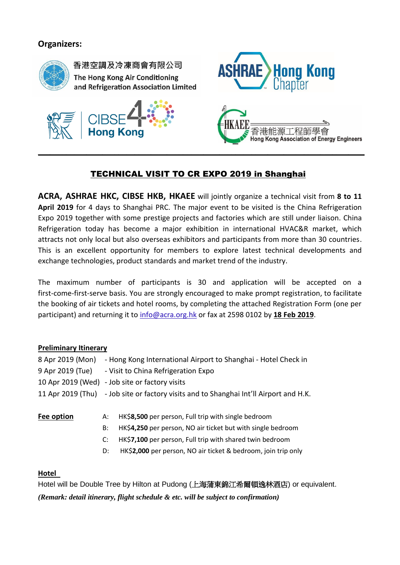# **Organizers:**



香港空調及冷凍商會有限公司 The Hong Kong Air Conditioning and Refrigeration Association Limited







# TECHNICAL VISIT TO CR EXPO 2019 in Shanghai

**ACRA, ASHRAE HKC, CIBSE HKB, HKAEE** will jointly organize a technical visit from **8 to 11 April 2019** for 4 days to Shanghai PRC. The major event to be visited is the China Refrigeration Expo 2019 together with some prestige projects and factories which are still under liaison. China Refrigeration today has become a major exhibition in international HVAC&R market, which attracts not only local but also overseas exhibitors and participants from more than 30 countries. This is an excellent opportunity for members to explore latest technical developments and exchange technologies, product standards and market trend of the industry.

The maximum number of participants is 30 and application will be accepted on a first-come-first-serve basis. You are strongly encouraged to make prompt registration, to facilitate the booking of air tickets and hotel rooms, by completing the attached Registration Form (one per participant) and returning it to [info@acra.org.hk](mailto:info@acra.org.hk) or fax at 2598 0102 by **18 Feb 2019**.

### **Preliminary Itinerary**

| 8 Apr 2019 (Mon) | - Hong Kong International Airport to Shanghai - Hotel Check in                         |
|------------------|----------------------------------------------------------------------------------------|
| 9 Apr 2019 (Tue) | - Visit to China Refrigeration Expo                                                    |
|                  | 10 Apr 2019 (Wed) - Job site or factory visits                                         |
|                  | 11 Apr 2019 (Thu) – Job site or factory visits and to Shanghai Int'll Airport and H.K. |
|                  |                                                                                        |

**Fee option** A: HK\$**8,500** per person, Full trip with single bedroom

- B: HK\$**4,250** per person, NO air ticket but with single bedroom
- C: HK\$**7,100** per person, Full trip with shared twin bedroom
- D: HK\$**2,000** per person, NO air ticket & bedroom, join trip only

### **Hotel**

Hotel will be Double Tree by Hilton at Pudong (上海蒲東錦江希爾頓逸林酒店) or equivalent. *(Remark: detail itinerary, flight schedule & etc. will be subject to confirmation)*